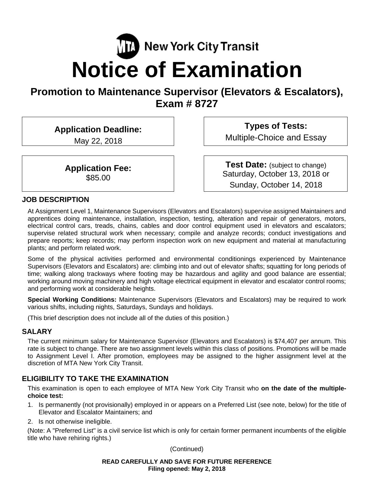# **NET** New York City Transit **Notice of Examination**

# **Promotion to Maintenance Supervisor (Elevators & Escalators), Exam # 8727**

**Application Deadline:** 

May 22, 2018

**Application Fee:**  \$85.00

**Types of Tests:**  Multiple-Choice and Essay

**Test Date:** (subject to change) Saturday, October 13, 2018 or Sunday, October 14, 2018

# **JOB DESCRIPTION**

At Assignment Level 1, Maintenance Supervisors (Elevators and Escalators) supervise assigned Maintainers and apprentices doing maintenance, installation, inspection, testing, alteration and repair of generators, motors, electrical control cars, treads, chains, cables and door control equipment used in elevators and escalators; supervise related structural work when necessary; compile and analyze records; conduct investigations and prepare reports; keep records; may perform inspection work on new equipment and material at manufacturing plants; and perform related work.

Some of the physical activities performed and environmental conditionings experienced by Maintenance Supervisors (Elevators and Escalators) are: climbing into and out of elevator shafts; squatting for long periods of time; walking along trackways where footing may be hazardous and agility and good balance are essential; working around moving machinery and high voltage electrical equipment in elevator and escalator control rooms; and performing work at considerable heights.

**Special Working Conditions:** Maintenance Supervisors (Elevators and Escalators) may be required to work various shifts, including nights, Saturdays, Sundays and holidays.

(This brief description does not include all of the duties of this position.)

#### **SALARY**

The current minimum salary for Maintenance Supervisor (Elevators and Escalators) is \$74,407 per annum. This rate is subject to change. There are two assignment levels within this class of positions. Promotions will be made to Assignment Level I. After promotion, employees may be assigned to the higher assignment level at the discretion of MTA New York City Transit.

# **ELIGIBILITY TO TAKE THE EXAMINATION**

This examination is open to each employee of MTA New York City Transit who **on the date of the multiplechoice test:** 

- 1. Is permanently (not provisionally) employed in or appears on a Preferred List (see note, below) for the title of Elevator and Escalator Maintainers; and
- 2. Is not otherwise ineligible.

(Note: A "Preferred List" is a civil service list which is only for certain former permanent incumbents of the eligible title who have rehiring rights.)

(Continued)

**READ CAREFULLY AND SAVE FOR FUTURE REFERENCE Filing opened: May 2, 2018**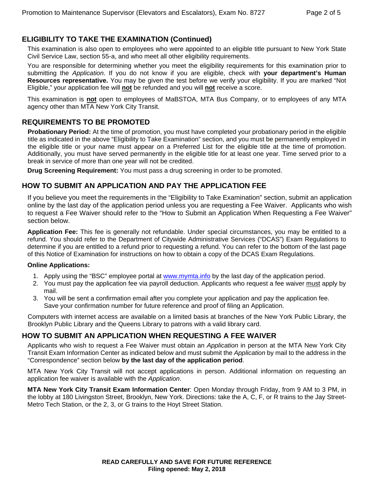# **ELIGIBILITY TO TAKE THE EXAMINATION (Continued)**

This examination is also open to employees who were appointed to an eligible title pursuant to New York State Civil Service Law, section 55-a, and who meet all other eligibility requirements.

You are responsible for determining whether you meet the eligibility requirements for this examination prior to submitting the *Application*. If you do not know if you are eligible, check with **your department's Human Resources representative.** You may be given the test before we verify your eligibility. If you are marked "Not Eligible," your application fee will **not** be refunded and you will **not** receive a score.

This examination is **not** open to employees of MaBSTOA, MTA Bus Company, or to employees of any MTA agency other than MTA New York City Transit.

#### **REQUIREMENTS TO BE PROMOTED**

**Probationary Period:** At the time of promotion, you must have completed your probationary period in the eligible title as indicated in the above "Eligibility to Take Examination" section, and you must be permanently employed in the eligible title or your name must appear on a Preferred List for the eligible title at the time of promotion. Additionally, you must have served permanently in the eligible title for at least one year. Time served prior to a break in service of more than one year will not be credited.

**Drug Screening Requirement:** You must pass a drug screening in order to be promoted.

#### **HOW TO SUBMIT AN APPLICATION AND PAY THE APPLICATION FEE**

If you believe you meet the requirements in the "Eligibility to Take Examination" section, submit an application online by the last day of the application period unless you are requesting a Fee Waiver. Applicants who wish to request a Fee Waiver should refer to the "How to Submit an Application When Requesting a Fee Waiver" section below.

**Application Fee:** This fee is generally not refundable. Under special circumstances, you may be entitled to a refund. You should refer to the Department of Citywide Administrative Services ("DCAS") Exam Regulations to determine if you are entitled to a refund prior to requesting a refund. You can refer to the bottom of the last page of this Notice of Examination for instructions on how to obtain a copy of the DCAS Exam Regulations.

#### **Online Applications:**

- 1. Apply using the "BSC" employee portal at www.mymta.info by the last day of the application period.
- 2. You must pay the application fee via payroll deduction. Applicants who request a fee waiver must apply by mail.
- 3. You will be sent a confirmation email after you complete your application and pay the application fee. Save your confirmation number for future reference and proof of filing an Application.

Computers with internet access are available on a limited basis at branches of the New York Public Library, the Brooklyn Public Library and the Queens Library to patrons with a valid library card.

#### **HOW TO SUBMIT AN APPLICATION WHEN REQUESTING A FEE WAIVER**

Applicants who wish to request a Fee Waiver must obtain an *Application* in person at the MTA New York City Transit Exam Information Center as indicated below and must submit the *Application* by mail to the address in the "Correspondence" section below **by the last day of the application period**.

MTA New York City Transit will not accept applications in person. Additional information on requesting an application fee waiver is available with the *Application*.

**MTA New York City Transit Exam Information Center**: Open Monday through Friday, from 9 AM to 3 PM, in the lobby at 180 Livingston Street, Brooklyn, New York. Directions: take the A, C, F, or R trains to the Jay Street-Metro Tech Station, or the 2, 3, or G trains to the Hoyt Street Station.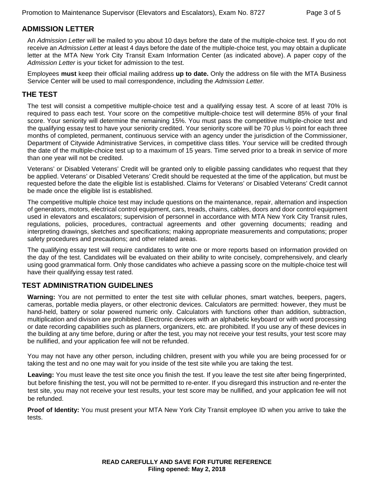# **ADMISSION LETTER**

An *Admission Letter* will be mailed to you about 10 days before the date of the multiple-choice test. If you do not receive an *Admission Letter* at least 4 days before the date of the multiple-choice test, you may obtain a duplicate letter at the MTA New York City Transit Exam Information Center (as indicated above). A paper copy of the *Admission Letter* is your ticket for admission to the test.

Employees **must** keep their official mailing address **up to date.** Only the address on file with the MTA Business Service Center will be used to mail correspondence, including the *Admission Letter.*

# **THE TEST**

The test will consist a competitive multiple-choice test and a qualifying essay test. A score of at least 70% is required to pass each test. Your score on the competitive multiple-choice test will determine 85% of your final score. Your seniority will determine the remaining 15%. You must pass the competitive multiple-choice test and the qualifying essay test to have your seniority credited. Your seniority score will be 70 plus ½ point for each three months of completed, permanent, continuous service with an agency under the jurisdiction of the Commissioner, Department of Citywide Administrative Services, in competitive class titles. Your service will be credited through the date of the multiple-choice test up to a maximum of 15 years. Time served prior to a break in service of more than one year will not be credited.

Veterans' or Disabled Veterans' Credit will be granted only to eligible passing candidates who request that they be applied. Veterans' or Disabled Veterans' Credit should be requested at the time of the application, but must be requested before the date the eligible list is established. Claims for Veterans' or Disabled Veterans' Credit cannot be made once the eligible list is established.

The competitive multiple choice test may include questions on the maintenance, repair, alternation and inspection of generators, motors, electrical control equipment, cars, treads, chains, cables, doors and door control equipment used in elevators and escalators; supervision of personnel in accordance with MTA New York City Transit rules, regulations, policies, procedures, contractual agreements and other governing documents; reading and interpreting drawings, sketches and specifications; making appropriate measurements and computations; proper safety procedures and precautions; and other related areas.

The qualifying essay test will require candidates to write one or more reports based on information provided on the day of the test. Candidates will be evaluated on their ability to write concisely, comprehensively, and clearly using good grammatical form. Only those candidates who achieve a passing score on the multiple-choice test will have their qualifying essay test rated.

# **TEST ADMINISTRATION GUIDELINES**

**Warning:** You are not permitted to enter the test site with cellular phones, smart watches, beepers, pagers, cameras, portable media players, or other electronic devices. Calculators are permitted: however, they must be hand-held, battery or solar powered numeric only. Calculators with functions other than addition, subtraction, multiplication and division are prohibited. Electronic devices with an alphabetic keyboard or with word processing or date recording capabilities such as planners, organizers, etc. are prohibited. If you use any of these devices in the building at any time before, during or after the test, you may not receive your test results, your test score may be nullified, and your application fee will not be refunded.

You may not have any other person, including children, present with you while you are being processed for or taking the test and no one may wait for you inside of the test site while you are taking the test.

**Leaving:** You must leave the test site once you finish the test. If you leave the test site after being fingerprinted, but before finishing the test, you will not be permitted to re-enter. If you disregard this instruction and re-enter the test site, you may not receive your test results, your test score may be nullified, and your application fee will not be refunded.

**Proof of Identity:** You must present your MTA New York City Transit employee ID when you arrive to take the tests.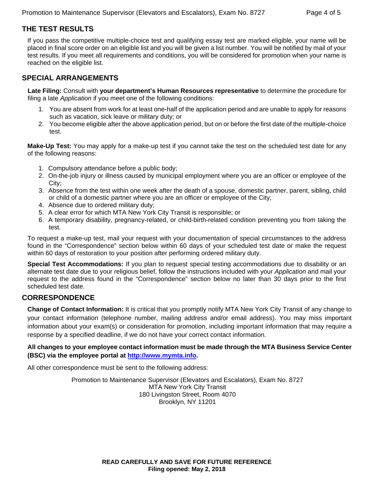# **THE TEST RESULTS**

If you pass the competitive multiple-choice test and qualifying essay test are marked eligible, your name will be placed in final score order on an eligible list and you will be given a list number. You will be notified by mail of your test results. If you meet all requirements and conditions, you will be considered for promotion when your name is reached on the eligible list.

# **SPECIAL ARRANGEMENTS**

**Late Filing:** Consult with **your department's Human Resources representative** to determine the procedure for filing a late *Application* if you meet one of the following conditions:

- 1. You are absent from work for at least one-half of the application period and are unable to apply for reasons such as vacation, sick leave or military duty; or
- 2. You become eligible after the above application period, but on or before the first date of the multiple-choice test.

**Make-Up Test:** You may apply for a make-up test if you cannot take the test on the scheduled test date for any of the following reasons:

- 1. Compulsory attendance before a public body;
- 2. On-the-job injury or illness caused by municipal employment where you are an officer or employee of the City;
- 3. Absence from the test within one week after the death of a spouse, domestic partner, parent, sibling, child or child of a domestic partner where you are an officer or employee of the City;
- 4. Absence due to ordered military duty;
- 5. A clear error for which MTA New York City Transit is responsible; or
- 6. A temporary disability, pregnancy-related, or child-birth-related condition preventing you from taking the test.

To request a make-up test, mail your request with your documentation of special circumstances to the address found in the "Correspondence" section below within 60 days of your scheduled test date or make the request within 60 days of restoration to your position after performing ordered military duty.

**Special Test Accommodations:** If you plan to request special testing accommodations due to disability or an alternate test date due to your religious belief, follow the instructions included with your *Application* and mail your request to the address found in the "Correspondence" section below no later than 30 days prior to the first scheduled test date.

# **CORRESPONDENCE**

**Change of Contact Information:** It is critical that you promptly notify MTA New York City Transit of any change to your contact information (telephone number, mailing address and/or email address). You may miss important information about your exam(s) or consideration for promotion, including important information that may require a response by a specified deadline, if we do not have your correct contact information.

**All changes to your employee contact information must be made through the MTA Business Service Center (BSC) via the employee portal at http://www.mymta.info.** 

All other correspondence must be sent to the following address:

Promotion to Maintenance Supervisor (Elevators and Escalators), Exam No. 8727 MTA New York City Transit 180 Livingston Street, Room 4070 Brooklyn, NY 11201